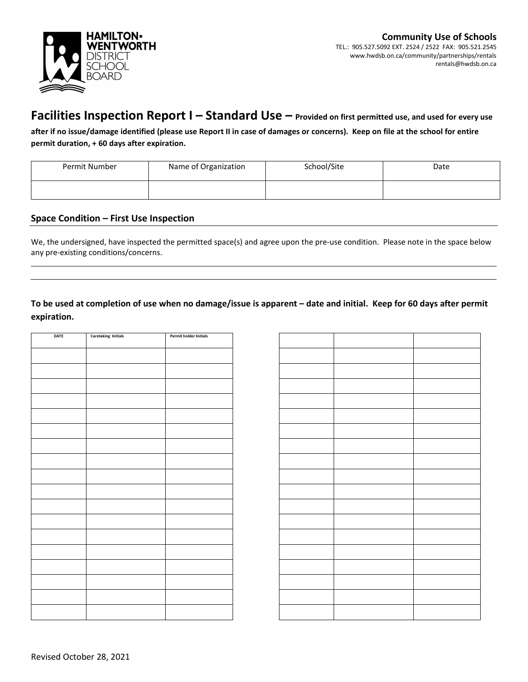

## **Facilities Inspection Report I – Standard Use – Provided on first permitted use, and used for every use**

**after if no issue/damage identified (please use Report II in case of damages or concerns). Keep on file at the school for entire permit duration, + 60 days after expiration.**

| Permit Number | Name of Organization | School/Site | Date |
|---------------|----------------------|-------------|------|
|               |                      |             |      |

### **Space Condition – First Use Inspection**

We, the undersigned, have inspected the permitted space(s) and agree upon the pre-use condition. Please note in the space below any pre-existing conditions/concerns.

## **To be used at completion of use when no damage/issue is apparent – date and initial. Keep for 60 days after permit expiration.**

| DATE | <b>Caretaking Initials</b> | Permit holder Initials |
|------|----------------------------|------------------------|
|      |                            |                        |
|      |                            |                        |
|      |                            |                        |
|      |                            |                        |
|      |                            |                        |
|      |                            |                        |
|      |                            |                        |
|      |                            |                        |
|      |                            |                        |
|      |                            |                        |
|      |                            |                        |
|      |                            |                        |
|      |                            |                        |
|      |                            |                        |
|      |                            |                        |
|      |                            |                        |
|      |                            |                        |
|      |                            |                        |
|      |                            |                        |